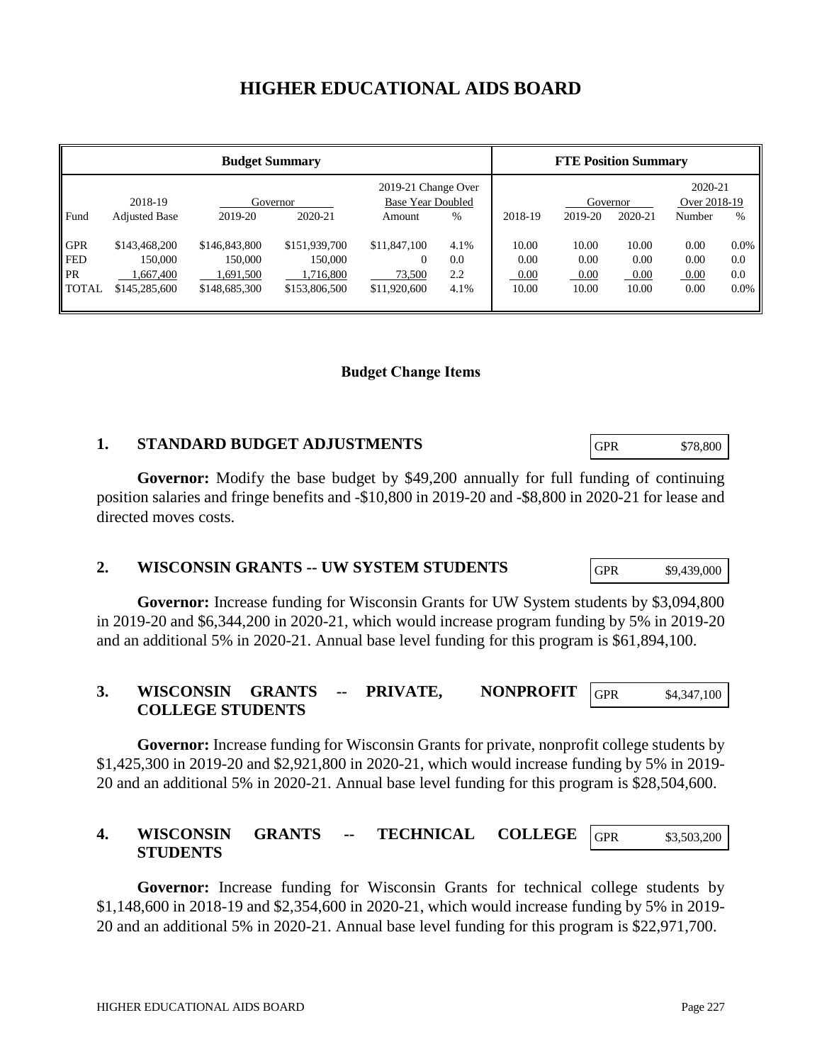# **HIGHER EDUCATIONAL AIDS BOARD**

| <b>Budget Summary</b>                                 |                                                        |                                                        |                                                        |                                                    |                            | <b>FTE Position Summary</b>    |                                |                                |                              |                                  |
|-------------------------------------------------------|--------------------------------------------------------|--------------------------------------------------------|--------------------------------------------------------|----------------------------------------------------|----------------------------|--------------------------------|--------------------------------|--------------------------------|------------------------------|----------------------------------|
|                                                       | 2018-19                                                | Governor                                               |                                                        | 2019-21 Change Over<br><b>Base Year Doubled</b>    |                            |                                | Governor                       |                                | 2020-21<br>Over 2018-19      |                                  |
| Fund                                                  | <b>Adjusted Base</b>                                   | 2019-20                                                | 2020-21                                                | Amount                                             | $\%$                       | 2018-19                        | 2019-20                        | 2020-21                        | Number                       | $\%$                             |
| <b>GPR</b><br><b>FED</b><br><b>PR</b><br><b>TOTAL</b> | \$143,468,200<br>150,000<br>1,667,400<br>\$145,285,600 | \$146,843,800<br>150,000<br>1,691,500<br>\$148,685,300 | \$151,939,700<br>150,000<br>1,716,800<br>\$153,806,500 | \$11,847,100<br>$\Omega$<br>73,500<br>\$11,920,600 | 4.1%<br>0.0<br>2.2<br>4.1% | 10.00<br>0.00<br>0.00<br>10.00 | 10.00<br>0.00<br>0.00<br>10.00 | 10.00<br>0.00<br>0.00<br>10.00 | 0.00<br>0.00<br>0.00<br>0.00 | $0.0\%$<br>0.0<br>0.0<br>$0.0\%$ |

#### **Budget Change Items**

## **1. STANDARD BUDGET ADJUSTMENTS**

**Governor:** Modify the base budget by \$49,200 annually for full funding of continuing position salaries and fringe benefits and -\$10,800 in 2019-20 and -\$8,800 in 2020-21 for lease and directed moves costs.

## **2. WISCONSIN GRANTS -- UW SYSTEM STUDENTS**

**Governor:** Increase funding for Wisconsin Grants for UW System students by \$3,094,800 in 2019-20 and \$6,344,200 in 2020-21, which would increase program funding by 5% in 2019-20 and an additional 5% in 2020-21. Annual base level funding for this program is \$61,894,100.

#### **3. WISCONSIN GRANTS -- PRIVATE, NONPROFIT COLLEGE STUDENTS** GPR \$4,347,100

**Governor:** Increase funding for Wisconsin Grants for private, nonprofit college students by \$1,425,300 in 2019-20 and \$2,921,800 in 2020-21, which would increase funding by 5% in 2019- 20 and an additional 5% in 2020-21. Annual base level funding for this program is \$28,504,600.

#### **4. WISCONSIN GRANTS -- TECHNICAL COLLEGE STUDENTS** GPR \$3,503,200

**Governor:** Increase funding for Wisconsin Grants for technical college students by \$1,148,600 in 2018-19 and \$2,354,600 in 2020-21, which would increase funding by 5% in 2019- 20 and an additional 5% in 2020-21. Annual base level funding for this program is \$22,971,700.

GPR \$9,439,000

GPR \$78,800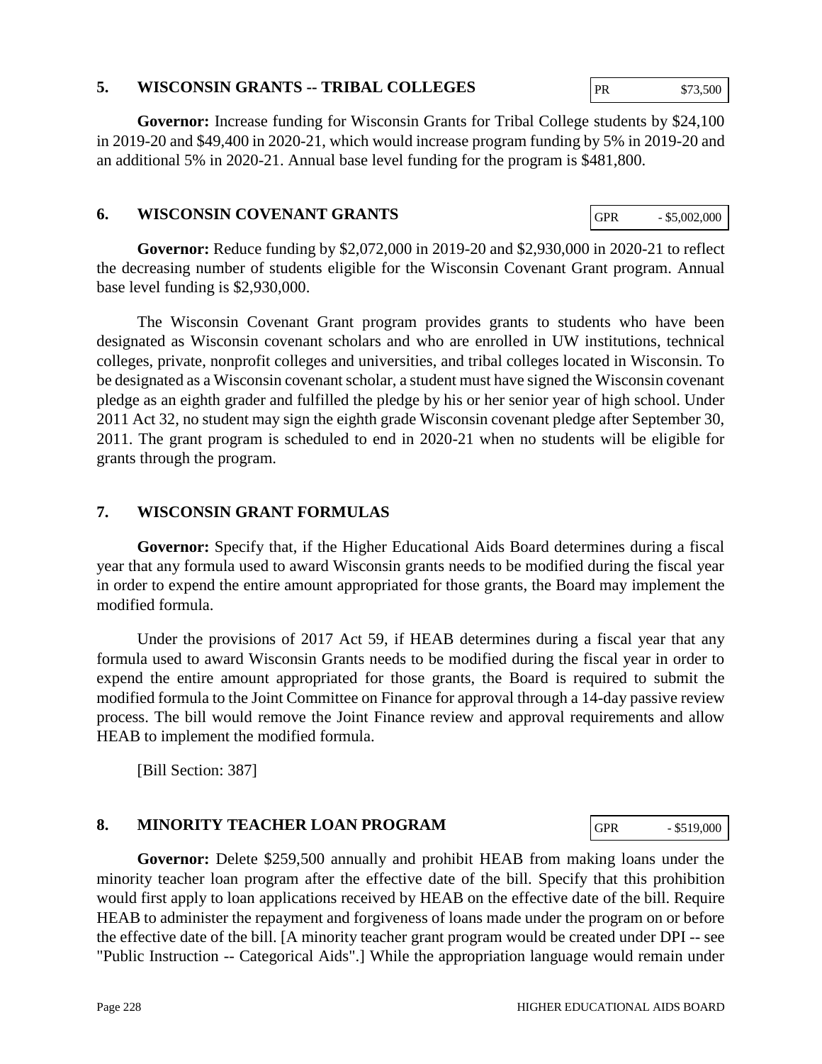# Page 228 HIGHER EDUCATIONAL AIDS BOARD

# **Governor:** Delete \$259,500 annually and prohibit HEAB from making loans under the minority teacher loan program after the effective date of the bill. Specify that this prohibition would first apply to loan applications received by HEAB on the effective date of the bill. Require HEAB to administer the repayment and forgiveness of loans made under the program on or before the effective date of the bill. [A minority teacher grant program would be created under DPI -- see "Public Instruction -- Categorical Aids".] While the appropriation language would remain under

**Governor:** Reduce funding by \$2,072,000 in 2019-20 and \$2,930,000 in 2020-21 to reflect the decreasing number of students eligible for the Wisconsin Covenant Grant program. Annual base level funding is \$2,930,000.

The Wisconsin Covenant Grant program provides grants to students who have been designated as Wisconsin covenant scholars and who are enrolled in UW institutions, technical colleges, private, nonprofit colleges and universities, and tribal colleges located in Wisconsin. To be designated as a Wisconsin covenant scholar, a student must have signed the Wisconsin covenant pledge as an eighth grader and fulfilled the pledge by his or her senior year of high school. Under 2011 Act 32, no student may sign the eighth grade Wisconsin covenant pledge after September 30, 2011. The grant program is scheduled to end in 2020-21 when no students will be eligible for grants through the program.

# **7. WISCONSIN GRANT FORMULAS**

**Governor:** Specify that, if the Higher Educational Aids Board determines during a fiscal year that any formula used to award Wisconsin grants needs to be modified during the fiscal year in order to expend the entire amount appropriated for those grants, the Board may implement the modified formula.

Under the provisions of 2017 Act 59, if HEAB determines during a fiscal year that any formula used to award Wisconsin Grants needs to be modified during the fiscal year in order to expend the entire amount appropriated for those grants, the Board is required to submit the modified formula to the Joint Committee on Finance for approval through a 14-day passive review process. The bill would remove the Joint Finance review and approval requirements and allow HEAB to implement the modified formula.

[Bill Section: 387]

**8. MINORITY TEACHER LOAN PROGRAM**

# **5. WISCONSIN GRANTS -- TRIBAL COLLEGES**

**Governor:** Increase funding for Wisconsin Grants for Tribal College students by \$24,100 in 2019-20 and \$49,400 in 2020-21, which would increase program funding by 5% in 2019-20 and an additional 5% in 2020-21. Annual base level funding for the program is \$481,800.

# **6. WISCONSIN COVENANT GRANTS**

GPR - \$519,000

GPR  $-$  \$5,002,000

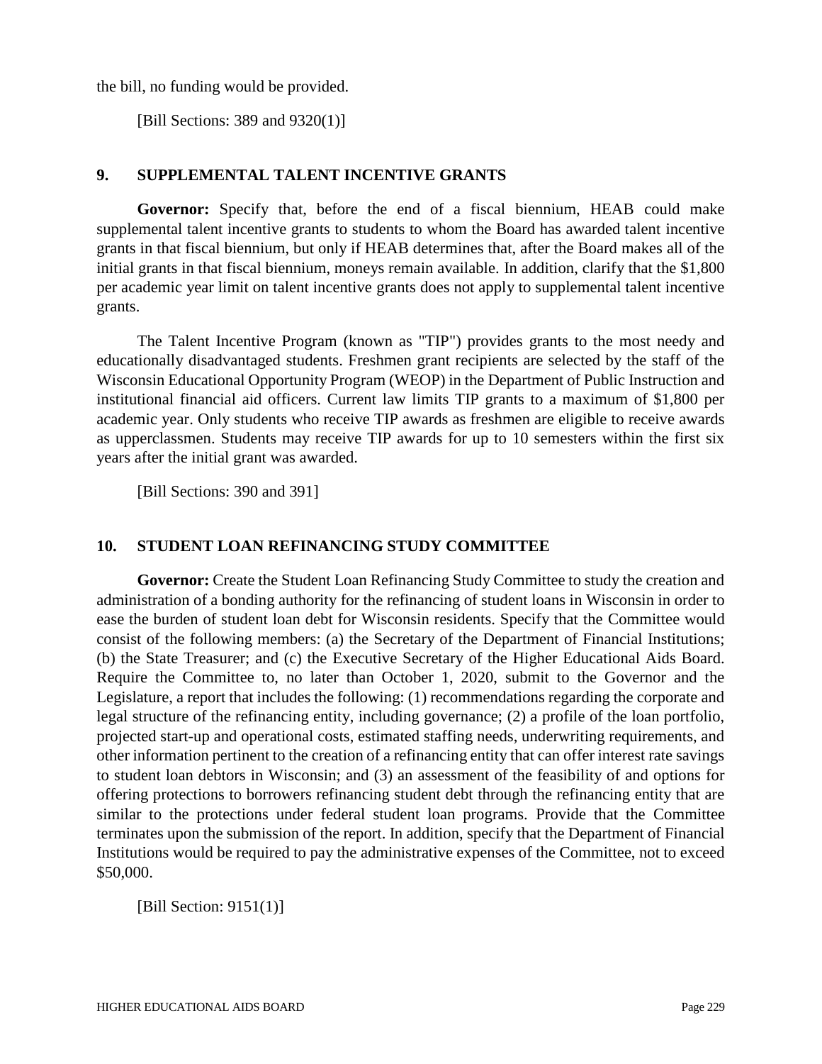the bill, no funding would be provided.

[Bill Sections: 389 and 9320(1)]

#### **9. SUPPLEMENTAL TALENT INCENTIVE GRANTS**

**Governor:** Specify that, before the end of a fiscal biennium, HEAB could make supplemental talent incentive grants to students to whom the Board has awarded talent incentive grants in that fiscal biennium, but only if HEAB determines that, after the Board makes all of the initial grants in that fiscal biennium, moneys remain available. In addition, clarify that the \$1,800 per academic year limit on talent incentive grants does not apply to supplemental talent incentive grants.

The Talent Incentive Program (known as "TIP") provides grants to the most needy and educationally disadvantaged students. Freshmen grant recipients are selected by the staff of the Wisconsin Educational Opportunity Program (WEOP) in the Department of Public Instruction and institutional financial aid officers. Current law limits TIP grants to a maximum of \$1,800 per academic year. Only students who receive TIP awards as freshmen are eligible to receive awards as upperclassmen. Students may receive TIP awards for up to 10 semesters within the first six years after the initial grant was awarded.

[Bill Sections: 390 and 391]

## **10. STUDENT LOAN REFINANCING STUDY COMMITTEE**

**Governor:** Create the Student Loan Refinancing Study Committee to study the creation and administration of a bonding authority for the refinancing of student loans in Wisconsin in order to ease the burden of student loan debt for Wisconsin residents. Specify that the Committee would consist of the following members: (a) the Secretary of the Department of Financial Institutions; (b) the State Treasurer; and (c) the Executive Secretary of the Higher Educational Aids Board. Require the Committee to, no later than October 1, 2020, submit to the Governor and the Legislature, a report that includes the following: (1) recommendations regarding the corporate and legal structure of the refinancing entity, including governance; (2) a profile of the loan portfolio, projected start-up and operational costs, estimated staffing needs, underwriting requirements, and other information pertinent to the creation of a refinancing entity that can offer interest rate savings to student loan debtors in Wisconsin; and (3) an assessment of the feasibility of and options for offering protections to borrowers refinancing student debt through the refinancing entity that are similar to the protections under federal student loan programs. Provide that the Committee terminates upon the submission of the report. In addition, specify that the Department of Financial Institutions would be required to pay the administrative expenses of the Committee, not to exceed \$50,000.

[Bill Section: 9151(1)]